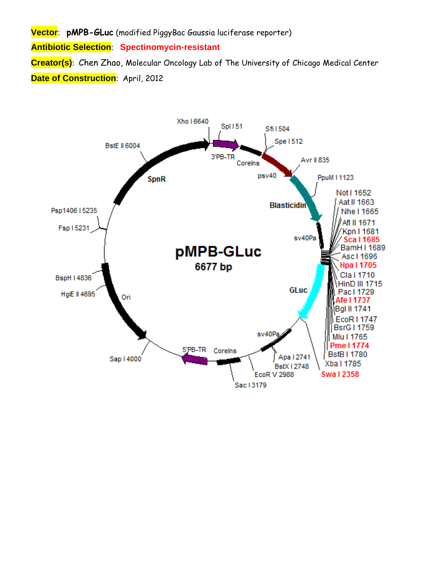**Vector**: **pMPB-GLuc** (modified PiggyBac Gaussia luciferase reporter)

**Antibiotic Selection**: **Spectinomycin-resistant** 

**Creator(s)**: Chen Zhao, Molecular Oncology Lab of The University of Chicago Medical Center **Date of Construction: April, 2012** 

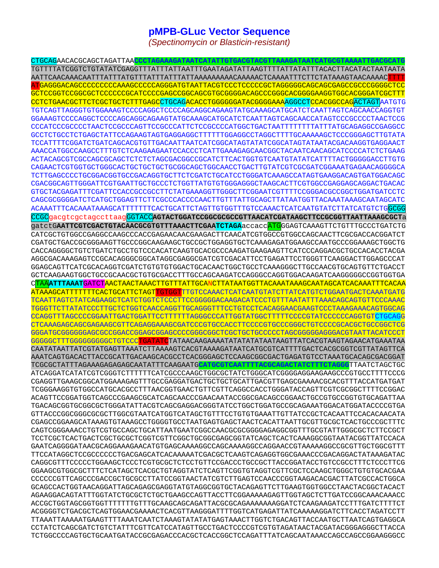## **pMPB-GLuc Vector Sequence**

*(Spectinomycin or Blasticin-resistant)* 

CTGCAGAACACGCAGCTAGATTAA**CCCTAGAAAGATAATCATATTGTGACGTACGTTAAAGATAATCATGCGTAAAATTGACGCATG** TGTTTTATCGGTCTGTATATCGAGGTTTATTTATTAATTTGAATAGATATTAAGTTTTATTATATTTACACTTACATACTAATAATA AATTCAACAAACAATTTATTTATGTTTATTTATTTATTAAAAAAAAACAAAAACTCAAAATTTCTTCTATAAAGTAACAAAACTTTT ATGAGGGACAGCCCCCCCCCAAAGCCCCCAGGGATGTAATTACGTCCCTCCCCCGCTAGGGGGCAGCAGCGAGCCGCCCGGGGCTCC GCTCCGGTCCGGCGCTCCCCCCGCATCCCCGAGCCGGCAGCGTGCGGGGACAGCCCGGGCACGGGGAAGGTGGCACGGGATCGCTTT CCTCTGAACGCTTCTCGCTGCTCTTTGAGCCTGCAGACACCTGGGGGGATACGGGGAAAAGGCCTCCACGGCCAGACTAGTAATGTG TGTCAGTTAGGGTGTGGAAAGTCCCCAGGCTCCCCAGCAGGCAGAAGTATGCAAAGCATGCATCTCAATTAGTCAGCAACCAGGTGT GGAAAGTCCCCAGGCTCCCCAGCAGGCAGAAGTATGCAAAGCATGCATCTCAATTAGTCAGCAACCATAGTCCCGCCCCTAACTCCG CCCATCCCGCCCCTAACTCCGCCCAGTTCCGCCCATTCTCCGCCCCATGGCTGACTAATTTTTTTTATTTATGCAGAGGCCGAGGCC GCCTCTGCCTCTGAGCTATTCCAGAAGTAGTGAGGAGGCTTTTTTGGAGGCCTAGGCTTTTGCAAAAAGCTCCCGGGAGCTTGTATA TCCATTTTCGGATCTGATCAGCACGTGTTGACAATTAATCATCGGCATAGTATATCGGCATAGTATAATACGACAAGGTGAGGAACT AAACCATGGCCAAGCCTTTGTCTCAAGAAGAATCCACCCTCATTGAAAGAGCAACGGCTACAATCAACAGCATCCCCATCTCTGAAG ACTACAGCGTCGCCAGCGCAGCTCTCTCTAGCGACGGCCGCATCTTCACTGGTGTCAATGTATATCATTTTACTGGGGGACCTTGTG CAGAACTCGTGGTGCTGGGCACTGCTGCTGCTGCGGCAGCTGGCAACCTGACTTGTATCGTCGCGATCGGAAATGAGAACAGGGGCA TCTTGAGCCCCTGCGGACGGTGCCGACAGGTGCTTCTCGATCTGCATCCTGGGATCAAAGCCATAGTGAAGGACAGTGATGGACAGC CGACGGCAGTTGGGATTCGTGAATTGCTGCCCTCTGGTTATGTGTGGGAGGGCTAAGCACTTCGTGGCCGAGGAGCAGGACTGACAC GTGCTACGAGATTTCGATTCCACCGCCGCCTTCTATGAAAGGTTGGGCTTCGGAATCGTTTTCCGGGACGCCGGCTGGATGATCCTC CAGCGCGGGGATCTCATGCTGGAGTTCTTCGCCCACCCCAACTTGTTTATTGCAGCTTATAATGGTTACAAATAAAGCAATAGCATC ACAAATTTCACAAATAAAGCATTTTTTTCACTGCATTCTAGTTGTGGTTTGTCCAAACTCATCAATGTATCTTATCATGTCTGGCGG CCGCgacgtcgctagccttaagGGTACC**AGTACTGGATCCGGCGCGCCGTTAACATCGATAAGCTTCCGCGGTTAATTAAAGCGCT**a gatctG**AATTCGTCGACTGTACAACGCGTGTTTAAACTTCGAATCTAGA**accaccATGGGAGTCAAAGTTCTGTTTGCCCTGATCTG CATCGCTGTGGCCGAGGCCAAGCCCACCGAGAACAACGAAGACTTCAACATCGTGGCCGTGGCCAGCAACTTCGCGACCACGGATCT CGATGCTGACCGCGGGAAGTTGCCCGGCAAGAAGCTGCCGCTGGAGGTGCTCAAAGAGATGGAAGCCAATGCCCGGAAAGCTGGCTG CACCAGGGGCTGTCTGATCTGCCTGTCCCACATCAAGTGCACGCCCAAGATGAAGAAGTTCATCCCAGGACGCTGCCACACCTACGA AGGCGACAAAGAGTCCGCACAGGGCGGCATAGGCGAGGCGATCGTCGACATTCCTGAGATTCCTGGGTTCAAGGACTTGGAGCCCAT GGAGCAGTTCATCGCACAGGTCGATCTGTGTGTGGACTGCACAACTGGCTGCCTCAAAGGGCTTGCCAACGTGCAGTGTTCTGACCT GCTCAAGAAGTGGCTGCCGCAACGCTGTGCGACCTTTGCCAGCAAGATCCAGGGCCAGGTGGACAAGATCAAGGGGGCCGGTGGTGA CTAA**ATTTAAAT**GATCTAACTAACTAAACTTGTTTATTGCANCTTATAATGGTTACAAATAAAGCAATAGCATCACAAATTTCACAA ATAAAGCATTTTTTTCACTGCATTCTAGTTGTGGTTTGTCCAAACTCATCAATGTATCTTATCATGTCTGGAATGACTCAAATGATG TCAATTAGTCTATCAGAAGCTCATCTGGTCTCCCTTCCGGGGGACAAGACATCCCTGTTTAATATTTAAACAGCAGTGTTCCCAAAC TGGGTTCTTATATCCCTTGCTCTGGTCAACCAGGTTGCAGGGTTTCCTGTCCTCACAGGAACGAAGTCCCTAAAGAAACAGTGGCAG CCAGGTTTAGCCCCGGAATTGACTGGATTCCTTTTTTAGGGCCCATTGGTATGGCTTTTTCCCCGTATCCCCCCAGGTGTCTGCAGG CTCAAAGAGCAGCGAGAAGCGTTCAGAGGAAAGCGATCCCGTGCCACCTTCCCCGTGCCCGGGCTGTCCCCGCACGCTGCCGGCTCG GGGATGCGGGGGGAGCGCCGGACCGGAGCGGAGCCCCGGGCGGCTCGCTGCTGCCCCCTAGCGGGGGAGGGACGTAATTACATCCCT GGGGGCTTTGGGGGGGGCCTGTCCC<mark>TGATATC</mark>TATAACAAGAAAATATATATATAATAAGTTATCACGTAAGTAGAACATGAAATAA CAATATAATTATCGTATGAGTTAAATCTTAAAAGTCACGTAAAAGATAATCATGCGTCATTTTGACTCACGCGGTCGTTATAGTTCA AAATCAGTGACACTTACCGCATTGACAAGCACGCCTCACGGGAGCTCCAAGCGGCGACTGAGATGTCCTAAATGCACAGCGACGGAT TCGCGCTATTTAGAAAGAGAGAGCAATATTTCAAGAATG**CATGCGTCAATTTTACGCAGACTATCTTTCTAGGG**TTAATCTAGCTGC ATCAGGATCATATCGTCGGGTCTTTTTTCATCGCCCAAGCTGGCGCTATCTGGGCATCGGGGAGGAAGAAGCCCGTGCCTTTTCCCG CGAGGTTGAAGCGGCATGGAAAGAGTTTGCCGAGGATGACTGCTGCTGCATTGACGTTGAGCGAAAACGCACGTTTACCATGATGAT TCGGGAAGGTGTGGCCATGCACGCCTTTAACGGTGAACTGTTCGTTCAGGCCACCTGGGATACCAGTTCGTCGCGGCTTTTCCGGAC ACAGTTCCGGATGGTCAGCCCGAAGCGCATCAGCAACCCGAACAATACCGGCGACAGCCGGAACTGCCGTGCCGGTGTGCAGATTAA TGACAGCGGTGCGGCGCTGGGATATTACGTCAGCGAGGACGGGTATCCTGGCTGGATGCCGCAGAAATGGACATGGATACCCCGTGA GTTACCCGGCGGGCGCGCTTGGCGTAATCATGGTCATAGCTGTTTCCTGTGTGAAATTGTTATCCGCTCACAATTCCACACAACATA CGAGCCGGAAGCATAAAGTGTAAAGCCTGGGGTGCCTAATGAGTGAGCTAACTCACATTAATTGCGTTGCGCTCACTGCCCGCTTTC CAGTCGGGAAACCTGTCGTGCCAGCTGCATTAATGAATCGGCCAACGCGCGGGGAGAGGCGGTTTGCGTATTGGGCGCTCTTCCGCT TCCTCGCTCACTGACTCGCTGCGCTCGGTCGTTCGGCTGCGGCGAGCGGTATCAGCTCACTCAAAGGCGGTAATACGGTTATCCACA GAATCAGGGGATAACGCAGGAAAGAACATGTGAGCAAAAGGCCAGCAAAAGGCCAGGAACCGTAAAAAGGCCGCGTTGCTGGCGTTT TTCCATAGGCTCCGCCCCCCTGACGAGCATCACAAAAATCGACGCTCAAGTCAGAGGTGGCGAAACCCGACAGGACTATAAAGATAC CAGGCGTTTCCCCCTGGAAGCTCCCTCGTGCGCTCTCCTGTTCCGACCCTGCCGCTTACCGGATACCTGTCCGCCTTTCTCCCTTCG GGAAGCGTGGCGCTTTCTCATAGCTCACGCTGTAGGTATCTCAGTTCGGTGTAGGTCGTTCGCTCCAAGCTGGGCTGTGTGCACGAA CCCCCCGTTCAGCCCGACCGCTGCGCCTTATCCGGTAACTATCGTCTTGAGTCCAACCCGGTAAGACACGACTTATCGCCACTGGCA GCAGCCACTGGTAACAGGATTAGCAGAGCGAGGTATGTAGGCGGTGCTACAGAGTTCTTGAAGTGGTGGCCTAACTACGGCTACACT AGAAGGACAGTATTTGGTATCTGCGCTCTGCTGAAGCCAGTTACCTTCGGAAAAAGAGTTGGTAGCTCTTGATCCGGCAAACAAACC ACCGCTGGTAGCGGTGGTTTTTTTGTTTGCAAGCAGCAGATTACGCGCAGAAAAAAAGGATCTCAAGAAGATCCTTTGATCTTTTCT ACGGGGTCTGACGCTCAGTGGAACGAAAACTCACGTTAAGGGATTTTGGTCATGAGATTATCAAAAAGGATCTTCACCTAGATCCTT TTAAATTAAAAATGAAGTTTTAAATCAATCTAAAGTATATATGAGTAAACTTGGTCTGACAGTTACCAATGCTTAATCAGTGAGGCA CCTATCTCAGCGATCTGTCTATTTCGTTCATCCATAGTTGCCTGACTCCCCGTCGTGTAGATAACTACGATACGGGAGGGCTTACCA TCTGGCCCCAGTGCTGCAATGATACCGCGAGACCCACGCTCACCGGCTCCAGATTTATCAGCAATAAACCAGCCAGCCGGAAGGGCC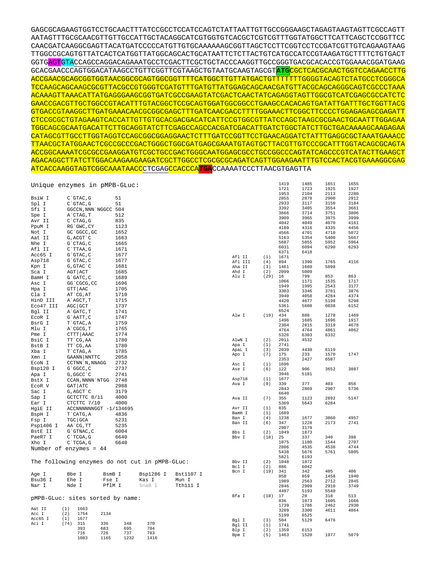| CAACGATCAAGGCGAGTTACATGATCCCCCATGTTGTGCAAAAAAGCGGTTAGCTCCTTCGGTCCTCCGATCGTTGTCAGAAGTAAG                   |
|-----------------------------------------------------------------------------------------------------------|
| TTGGCCGCAGTGTTATCACTCATGGTTATGGCAGCACTGCATAATTCTCTTACTGTCATGCCATCCGTAAGATGCTTTTCTGTGACT                   |
| GGTGAGTGTACCAGCCAGGACAGAAATGCCTCGACTTCGCTGCTACCCAAGGTTGCCGGGTGACGCACACCGTGGAAACGGATGAAG                   |
| GCACGAACCCAGTGGACATAAGCCTGTTCGGTTCGTAAGCTGTAATGCAAGTAGCGT <mark>ATG</mark> CGCTCACGCAACTGGTCCAGAACCTTG    |
| ACCGAACGCAGCGGTGGTAACGGCGCAGTGGCGGTTTTCATGGCTTGTTATGACTGTTTTTTTGGGGTACAGTCTATGCCTCGGGCA                   |
| TCCAAGCAGCAAGCGCGTTACGCCGTCGGTCGATCTTTGATGTTATGGAGCAGCAACGATGTTACGCAGCAGCAGGGCAGTCGCCCC                   |
|                                                                                                           |
| <u>GAAQQGAQGTTGQTGQQQQTTAQATTTGTAQGQQTQQQGQAGTGGAATGGQQQQQDAAAGQQAQAQAQTGATTTADTTTQQTTGQTTGQTTGQTTRAQ</u> |
| <u>\CCGTAAGGCTTGATGAAACAACGCGGCGAGCTTTGATCAACGACCTTTTGGAAACTTCGGCTTCCCCCTGGAGAGAGCGAGA</u>                |
| CTCCGCGCTGTAGAAGTCACCATTGTTGTGCACGACGACATCATTCCGTGGCGTTATCCAGCTAAGCGCGAACTGCAATTTGGAGAA                   |
|                                                                                                           |
| CATAGCGTTGCCTTGGTAGGTCCAGCGGCGGAGGAAGAACTCTTTGATCCGGTTCCTGAACAGGATCTATTTGAGGCGTAAATGAAGA                  |
| <u>TTAACGCTATGGAACTCGCCGCCGACTGGGCTGGCGATGAGCGAAATGTAGTGCTTACGTTGTCCCGCATTTGGTACAGCGCAGTA</u>             |
|                                                                                                           |
|                                                                                                           |
| ATCACCAAGGTAGTCGGCAAATAACCCTCGAGCCACCCATGACCCAAAATCCCTTAACGTGAGTTA                                        |

|                          |                            | Unique enzymes in pMPB-GLuc:                   |           |           |                 |            | 1419         | 1485         | 1651         | 1655         |
|--------------------------|----------------------------|------------------------------------------------|-----------|-----------|-----------------|------------|--------------|--------------|--------------|--------------|
|                          |                            |                                                |           |           |                 |            | 1721<br>1953 | 1723<br>2104 | 1925<br>2113 | 1927<br>2280 |
| BsiW I                   | C`GTAC, G                  | 51                                             |           |           |                 |            | 2855         | 2878         | 2900         | 2912         |
| Spl I                    | C`GTAC, G                  | 51                                             |           |           |                 |            | 2933         | 3117         | 3150         | 3184         |
| Sfi I                    | GGCCN, NNN NGGCC 504       |                                                |           |           |                 |            | 3392         | 3405         | 3554         | 3661         |
|                          | A`CTAG, T                  | 512                                            |           |           |                 |            | 3666         | 3714         | 3751         | 3806         |
| Spe I                    |                            | 835                                            |           |           |                 |            | 3909         | 3965         | 3975         | 3999         |
| Avr II                   | $C$ $CTAG$ , $G$           |                                                |           |           |                 |            | 4042         | 4049         | 4070         | 4161         |
| PpuM I                   | RG`GWC, CY                 | 1123                                           |           |           |                 |            | 4189         | 4316         | 4335         | 4456         |
| Not I                    | GC `GGCC, GC               | 1652                                           |           |           |                 |            | 4566         | 4701         | 4710         | 5072         |
| Aat II                   | G, ACGT `C                 | 1663                                           |           |           |                 |            | 5163         | 5354         | 5400         | 5667         |
| Nhe I                    | G`CTAG, C                  | 1665                                           |           |           |                 |            | 5687         | 5855         | 5952         | 5964         |
| Afl II                   | C`TTAA, G                  | 1671                                           |           |           |                 |            | 6031<br>6371 | 6094<br>6418 | 6290         | 6293         |
| Acc65 I                  | $G$ $GTAC$ , $C$           | 1677                                           |           |           | Afl II          | (1)        | 1671         |              |              |              |
| Asp718                   | G`GTAC, C                  | 1677                                           |           |           | Afl III         | (4)        | 894          | 1390         | 1765         | 4116         |
| Kpn I                    | G, GTAC C                  | 1681                                           |           |           | Aha II          | (3)        | 1461         | 1660         | 5898         |              |
| Sca I                    | AGT ACT                    | 1685                                           |           |           | Ahd I           | (2)        | 2099         | 5009         |              |              |
| BamH I                   | G`GATC, C                  | 1689                                           |           |           | Alu I           | (29)       | 16           | 799          | 853          | 863          |
| Asc I                    | GG`CGCG, CC                | 1696                                           |           |           |                 |            | 1066         | 1171         | 1535         | 1717         |
| Hpa I                    | GTT   AAC                  | 1705                                           |           |           |                 |            | 1949         | 1995         | 2543         | 3177         |
| Cla I                    | AT CG, AT                  | 1710                                           |           |           |                 |            | 3303         | 3346         | 3781         | 3876         |
| HinD III                 | A`AGCT, T                  | 1715                                           |           |           |                 |            | 3940<br>4420 | 4058<br>4677 | 4284<br>5198 | 4374<br>5298 |
| Eco47 III                | AGC GCT                    | 1737                                           |           |           |                 |            | 5361         | 5608         | 6038         | 6152         |
|                          |                            |                                                |           |           |                 |            | 6524         |              |              |              |
| Bgl II                   | A`GATC, T                  | 1741                                           |           |           | Alw I           | $(19)$ 434 |              | 888          | 1278         | 1469         |
| ECOR I                   | G`AATT, C                  | 1747                                           |           |           |                 |            | 1496         | 1685         | 1696         | 1917         |
| BsrG I                   | T`GTAC, A                  | 1759                                           |           |           |                 |            | 2304         | 2815         | 3319         | 4678         |
| Mlu I                    | A CGCG, T                  | 1765                                           |           |           |                 |            | 4764         | 4764         | 4861         | 4862         |
| Pme I                    | CTTT AAAC                  | 1774                                           |           |           |                 |            | 5326         | 6303         | 6332         |              |
| BsiC I                   | TT CG, AA                  | 1780                                           |           |           | AlwN I          | (2)        | 2011         | 4532         |              |              |
| BstB I                   | TT CG, AA                  | 1780                                           |           |           | Apa I           | (1)        | 2741         |              |              |              |
| Xba I                    | T CTAG, A                  | 1785                                           |           |           | ApaL I          | (3)        | 2039         | 4430         | 6119         |              |
| Xmn I                    | GAANN NNTTC                | 2058                                           |           |           | Apo I           | (7)        | 175<br>2353  | 233<br>2427  | 1570<br>6587 | 1747         |
| ECON I                   | CCTNN `N, NNAGG            | 2732                                           |           |           | Asc T           | (1)        | 1696         |              |              |              |
| Bsp120 I                 | G`GGCC, C                  | 2737                                           |           |           | Ase I           | (6)        | 122          | 906          | 3652         | 3887         |
| Apa I                    | G, GGCC `C                 | 2741                                           |           |           |                 |            | 3946         | 5181         |              |              |
| BstX I                   | CCAN, NNNN `NTGG           | 2748                                           |           |           | Asp718          | (1)        | 1677         |              |              |              |
| ECOR V                   | GAT ATC                    | 2988                                           |           |           | Ava I           | (9)        | 339          | 377          | 403          | 856          |
| Sac I                    | G, AGCT `C                 | 3179                                           |           |           |                 |            | 2843         | 2869         | 2907         | 5736         |
|                          |                            |                                                |           |           |                 |            | 6640         |              |              |              |
| Sap I                    | GCTCTTC 8/11               | 4000                                           |           |           | Ava II          | (7)        | 355          | 1123         | 2892         | 5147         |
| Ear I                    | CTCTTC 7/10                | 4000                                           |           |           |                 |            | 5369         | 5643         | 6284         |              |
| HgiE II                  |                            | ACCNNNNNNGGT -1/134695                         |           |           | Avr II          | (1)        | 835<br>1689  |              |              |              |
| BspH I                   | T CATG, A                  | 4836                                           |           |           | BamH I<br>Ban I | (1)<br>(4) | 1238         | 1677         | 3860         | 4957         |
| Fsp I                    | TGC GCA                    | 5231                                           |           |           | Ban II          | (6)        | 347          | 1228         | 2173         | 2741         |
| Psp1406 I                | AA`CG, TT                  | 5235                                           |           |           |                 |            | 2907         | 3179         |              |              |
| BstE II                  | G`GTNAC, C                 | 6004                                           |           |           | Bbs I           | (2)        | 1049         | 1873         |              |              |
| PaeR7 I                  | $C$ TCGA, G                | 6640                                           |           |           | Bbv I           | (18)       | 25           | 337          | 340          | 398          |
| Xho I                    | C`TCGA, G                  | 6640                                           |           |           |                 |            | 1075         | 1180         | 1544         | 2707         |
| Number of enzymes = $44$ |                            |                                                |           |           |                 |            | 2806         | 4535         | 4538         | 4744         |
|                          |                            |                                                |           |           |                 |            | 5438         | 5676         | 5761         | 5805         |
|                          |                            |                                                |           |           |                 |            | 5821         | 6193         |              |              |
|                          |                            | The following enzymes do not cut in pMPB-GLuc: |           |           | Bbv II          | (2)        | 1048         | 1872         |              |              |
|                          |                            |                                                |           |           | Bcl I           | (2)        | 886          | 6042         | 405          | 406          |
| Age I                    | Bbe I                      | BsmB I                                         | Bsp1286 I | Bst1107 I | Bcn I           | (19)       | 341<br>858   | 342<br>859   | 1458         | 1940         |
| Bsu36 I                  | Ehe I                      | Fse I                                          | Kas I     | Mun I     |                 |            | 1989         | 2563         | 2712         | 2845         |
| Nar I                    | Nde I                      | PflM I                                         | SnaB I    | Tth111 I  |                 |            | 2846         | 2909         | 2910         | 3749         |
|                          |                            |                                                |           |           |                 |            | 4497         | 5193         | 5540         |              |
|                          |                            |                                                |           |           | Bfa I           | (18)       | 17           | 28           | 318          | 513          |
|                          |                            | pMPB-GLuc: sites sorted by name:               |           |           |                 |            | 836          | 1073         | 1605         | 1666         |
|                          |                            |                                                |           |           |                 |            | 1739         | 1786         | 2462         | 2930         |
| Aat II                   | (1)<br>1663<br>(2)<br>1754 | 2134                                           |           |           |                 |            | 3289         | 3300         | 4611         | 4864         |
| Acc I<br>Acc65 I         | (1)<br>1677                |                                                |           |           |                 |            | 5199         | 6525         |              |              |
| Aci I                    | (74)<br>315                | 336<br>348                                     | 370       |           | Bgl I           | (3)        | 504          | 5129         | 6476         |              |
|                          | 393                        | 695<br>683                                     | 704       |           | Bgl II          | (1)        | 1741<br>1359 | 6153         |              |              |
|                          | 716                        | 726<br>737                                     | 783       |           | Blp I<br>Bpm I  | (2)<br>(5) | 1463         | 1520         | 1977         | 5079         |
|                          | 1083                       | 1165<br>1232                                   | 1416      |           |                 |            |              |              |              |              |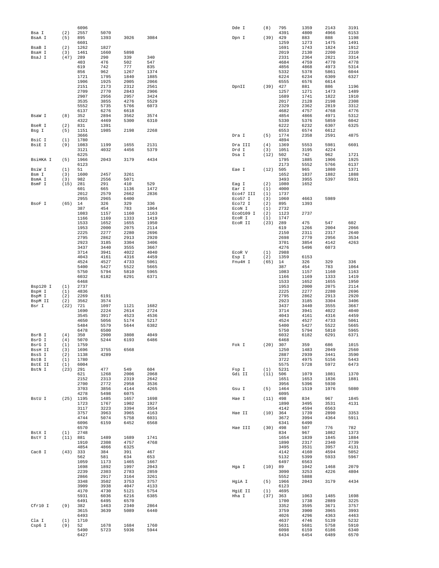|                   |             | 6096         |              |              |              | Dde I              | (8)        | 795          | 1359         | 2143         | 3191         |
|-------------------|-------------|--------------|--------------|--------------|--------------|--------------------|------------|--------------|--------------|--------------|--------------|
| Bsa I<br>BsaA I   | (2)<br>(5)  | 2557<br>895  | 5070<br>1393 | 3026         | 3084         | Dpn I              | (39)       | 4391<br>429  | 4800<br>883  | 4966<br>888  | 6153<br>1198 |
|                   |             | 6601         |              |              |              |                    |            | 1259         | 1273         | 1475         | 1491         |
| BsaB I            | (2)         | 1262         | 1827         |              |              |                    |            | 1691         | 1743         | 1824         | 1912         |
| BsaH I            | (3)         | 1461         | 1660         | 5898         |              |                    |            | 2019         | 2130         | 2200         | 2310         |
| BsaJ I            | (47)        | 289          | 290          | 339          | 340          |                    |            | 2331         | 2364         | 2821         | 3314         |
|                   |             | 403<br>619   | 476<br>742   | 502<br>777   | 547<br>835   |                    |            | 4684<br>4856 | 4759<br>4868 | 4770<br>4973 | 4778<br>5314 |
|                   |             | 856          | 962          | 1267         | 1374         |                    |            | 5332         | 5378         | 5861         | 6044         |
|                   |             | 1721         | 1795         | 1840         | 1885         |                    |            | 6224         | 6234         | 6309         | 6327         |
|                   |             | 1906         | 1925         | 2005         | 2066         |                    |            | 6555         | 6576         | 6614         |              |
|                   |             | 2151         | 2173         | 2312         | 2561         | DpnII              | (39)       | 427          | 881          | 886          | 1196         |
|                   |             | 2709         | 2770         | 2843         | 2906         |                    |            | 1257         | 1271         | 1473         | 1489         |
|                   |             | 2907<br>3535 | 2956<br>3855 | 2957<br>4276 | 3424<br>5529 |                    |            | 1689<br>2017 | 1741<br>2128 | 1822<br>2198 | 1910<br>2308 |
|                   |             | 5552         | 5735         | 5766         | 6073         |                    |            | 2329         | 2362         | 2819         | 3312         |
|                   |             | 6137         | 6276         | 6618         |              |                    |            | 4682         | 4757         | 4768         | 4776         |
| BsaW I            | (8)         | 352          | 2894         | 3562         | 3574         |                    |            | 4854         | 4866         | 4971         | 5312         |
|                   |             | 4322         | 4469         | 5300         | 6310         |                    |            | 5330         | 5376         | 5859         | 6042         |
| BseR I            | (2)         | 831<br>1151  | 1391<br>1985 |              | 2268         |                    |            | 6222         | 6232<br>6574 | 6307<br>6612 | 6325         |
| Bsg I             | (5)         | 3666         |              | 2198         |              | Dra I              | (5)        | 6553<br>1774 | 2358         | 2591         | 4875         |
| BsiC I            | (1)         | 1780         |              |              |              |                    |            | 4894         |              |              |              |
| BsiE I            | (9)         | 1083         | 1199         | 1655         | 2131         | Dra III            | (4)        | 1369         | 5553         | 5981         | 6601         |
|                   |             | 3121         | 4032         | 4456         | 5379         | Drd I              | (3)        | 1051         | 3195         | 4224         |              |
|                   |             | 6225         |              |              |              | Dsa I              | (12)       | 502          | 742          | 962          | 1721         |
| BsiHKA I          | (5)         | 1966<br>6123 | 2043         | 3179         | 4434         |                    |            | 1795<br>2173 | 1885<br>5552 | 1906<br>5766 | 1925<br>6137 |
| BsiW I            | (1)         | 51           |              |              |              | Eae I              | (12)       | 505          | 965          | 1080         | 1371         |
| Bsm I             | (3)         | 1600         | 2457         | 3261         |              |                    |            | 1652         | 1837         | 1882         | 1888         |
| BsmA I            | (3)         | 982          | 2556         | 5071         |              |                    |            | 3493         | 3955         | 5397         | 5931         |
| BsmF I            | (15)        | 281          | 291          | 410          | 529          | Eag I              | (2)        | 1080         | 1652         |              |              |
|                   |             | 601<br>2012  | 665<br>2579  | 1136<br>2662 | 1472<br>2836 | Ear I<br>Eco47 III | (1)<br>(1) | 4000<br>1737 |              |              |              |
|                   |             | 2955         | 2965         | 6400         |              | Eco57 I            | (3)        | 1060         | 4663         | 5989         |              |
| BsoF I            | (65)        | 14           | 326          | 329          | 336          | Eco72 I            | (2)        | 895          | 1393         |              |              |
|                   |             | 387          | 454          | 783          | 1064         | ECON I             | (1)        | 2732         |              |              |              |
|                   |             | 1083         | 1157         | 1160         | 1163         | Eco0109 I          | (2)        | 1123         | 2737         |              |              |
|                   |             | 1166<br>1533 | 1169<br>1652 | 1333<br>1655 | 1419<br>1950 | ECOR I             | (1)        | 1747<br>289  | 475          | 547          | 602          |
|                   |             | 1953         | 2000         | 2075         | 2114         | ECOR II            | (23)       | 619          | 1266         | 2004         | 2066         |
|                   |             | 2225         | 2277         | 2280         | 2696         |                    |            | 2150         | 2311         | 2317         | 2640         |
|                   |             | 2795         | 2862         | 2913         | 2920         |                    |            | 2698         | 2770         | 2956         | 3534         |
|                   |             | 2923         | 3185         | 3304         | 3406         |                    |            | 3701         | 3854         | 4142         | 4263         |
|                   |             | 3437         | 3440         | 3555         | 3667         |                    |            | 4276         | 5496         | 6073         |              |
|                   |             | 3714<br>4043 | 3941<br>4161 | 4022<br>4316 | 4040<br>4459 | ECOR V<br>Esp I    | (1)<br>(2) | 2988<br>1359 | 6153         |              |              |
|                   |             | 4524         | 4527         | 4733         | 5061         | Fnu4H I            | (65)       | 14           | 326          | 329          | 336          |
|                   |             | 5400         | 5427         | 5522         | 5665         |                    |            | 387          | 454          | 783          | 1064         |
|                   |             | 5750         | 5794         | 5810         | 5965         |                    |            | 1083         | 1157         | 1160         | 1163         |
|                   |             | 6032         | 6182         | 6291         | 6371         |                    |            | 1166         | 1169         | 1333         | 1419         |
| Bsp120 I          | (1)         | 6468<br>2737 |              |              |              |                    |            | 1533<br>1953 | 1652<br>2000 | 1655<br>2075 | 1950<br>2114 |
| BspH I            | (1)         | 4836         |              |              |              |                    |            | 2225         | 2277         | 2280         | 2696         |
| BspM I            | (2)         | 2269         | 6191         |              |              |                    |            | 2795         | 2862         | 2913         | 2920         |
| BspM II           | (2)         | 3562         | 3574         |              |              |                    |            | 2923         | 3185         | 3304         | 3406         |
| Bsr I             | (22)        | 721          | 1097         | 1121         | 1682         |                    |            | 3437         | 3440         | 3555         | 3667         |
|                   |             | 1690         | 2224         | 2614         | 2724         |                    |            | 3714         | 3941         | 4022         | 4040         |
|                   |             | 3545<br>4650 | 3917<br>5056 | 4523<br>5174 | 4536<br>5217 |                    |            | 4043<br>4524 | 4161<br>4527 | 4316<br>4733 | 4459<br>5061 |
|                   |             | 5484         | 5579         | 5644         | 6382         |                    |            | 5400         | 5427         | 5522         | 5665         |
|                   |             | 6478         | 6500         |              |              |                    |            | 5750         | 5794         | 5810         | 5965         |
| BsrB I            | (4)         | 350          | 2900         | 3808         | 4049         |                    |            | 6032         | 6182         | 6291         | 6371         |
| BsrD I            | (4)         | 5070         | 5244         | 6193         | 6486         |                    |            | 6468         |              |              |              |
| BsrG I<br>BssH II | (1)<br>(3)  | 1759<br>1696 | 3755         | 6568         |              | Fok I              | (20)       | 307<br>1250  | 359<br>1483  | 686<br>2049  | 1015<br>2560 |
| BssS I            | (2)         | 1138         | 4289         |              |              |                    |            | 2887         | 2939         | 3441         | 3590         |
| BstB I            | (1)         | 1780         |              |              |              |                    |            | 3722         | 4975         | 5156         | 5443         |
| BstE II           | (1)         | 6004         |              |              |              |                    |            | 5575         | 5728         | 5972         | 6473         |
| BstN I            | (23)        | 291          | 477          | 549          | 604          | Fsp I              | (1)        | 5231         |              |              |              |
|                   |             | 621<br>2152  | 1268<br>2313 | 2006<br>2319 | 2068<br>2642 | Gdi II             | (11)       | 506<br>1651  | 1079<br>1653 | 1081<br>1836 | 1370<br>1881 |
|                   |             | 2700         | 2772         | 2958         | 3536         |                    |            | 3956         | 5396         | 5930         |              |
|                   |             | 3703         | 3856         | 4144         | 4265         | Gsu I              | (5)        | 1464         | 1519         | 1976         | 5080         |
|                   |             | 4278         | 5498         | 6075         |              |                    |            | 6095         |              |              |              |
| BstU I            | $(25)$ 1195 | 1723         | 1485<br>1767 | 1657<br>1902 | 1698<br>1927 | Hae I              | (11)       | 498<br>1890  | 834<br>3495  | 967<br>3531  | 1845<br>4131 |
|                   |             | 3117         | 3223         | 3394         | 3554         |                    |            | 4142         | 4594         | 6563         |              |
|                   |             | 3757         | 3963         | 3965         | 4163         | Hae II             | (10)       | 364          | 1739         | 2890         | 3353         |
|                   |             | 4744         | 5074         | 5758         | 6031         |                    |            | 3672         | 3994         | 4364         | 5911         |
|                   |             | 6096         | 6159         | 6452         | 6568         |                    |            | 6341         | 6490         |              |              |
| BstX I            | (1)         | 6570<br>2748 |              |              |              | Hae III            | (30)       | 498<br>834   | 507<br>967   | 776<br>1082  | 782<br>1373  |
| BstY I            | (11)        | 881          | 1489         | 1689         | 1741         |                    |            | 1654         | 1839         | 1845         | 1884         |
|                   |             | 1910         | 2308         | 4757         | 4768         |                    |            | 1890         | 2317         | 2340         | 2739         |
|                   |             | 4854         | 4866         | 6325         |              |                    |            | 3495         | 3531         | 3957         | 4131         |
| Cac8 I            | (43)        | 333          | 384          | 391          | 467          |                    |            | 4142         | 4160         | 4594         | 5052         |
|                   |             | 562<br>1059  | 581<br>1173  | 634<br>1465  | 653<br>1667  |                    |            | 5132<br>6497 | 5399<br>6563 | 5933         | 5967         |
|                   |             | 1698         | 1892         | 1997         | 2043         | Hga I              | $(10)$ 89  |              | 1042         | 1468         | 2079         |
|                   |             | 2239         | 2303         | 2783         | 2859         |                    |            | 3090         | 3253         | 4226         | 4804         |
|                   |             | 2866         | 2917         | 3164         | 3261         |                    |            | 5552         | 5888         |              |              |
|                   |             | 3348         | 3502         | 3753         | 3757         | HgiA I             | (5)        | 1966         | 2043         | 3179         | 4434         |
|                   |             | 3909<br>4170 | 3938<br>4730 | 4047<br>5121 | 4133<br>5754 | HgiE II            | (1)        | 6123<br>4695 |              |              |              |
|                   |             | 5931         | 6036         | 6216         | 6385         | Hha I              | (37)       | 363          | 1063         | 1485         | 1698         |
|                   |             | 6491         | 6495         | 6570         |              |                    |            | 1700         | 1738         | 2889         | 3225         |
| Cfr10 I           | (9)         | 382          | 1463         | 2340         | 2864         |                    |            | 3352         | 3595         | 3671         | 3757         |
|                   |             | 3615         | 3639         | 5089         | 6440         |                    |            | 3759         | 3900         | 3965         | 3993         |
| Cla I             | (1)         | 6493<br>1710 |              |              |              |                    |            | 4026<br>4637 | 4296<br>4746 | 4363<br>5139 | 4463<br>5232 |
| Csp6 I            | (9)         | 52           | 1678         | 1684         | 1760         |                    |            | 5631         | 5681         | 5758         | 5910         |
|                   |             | 5490         | 5723         | 5936         | 5944         |                    |            | 6098         | 6159         | 6186         | 6340         |
|                   |             | 6427         |              |              |              |                    |            | 6434         | 6454         | 6489         | 6570         |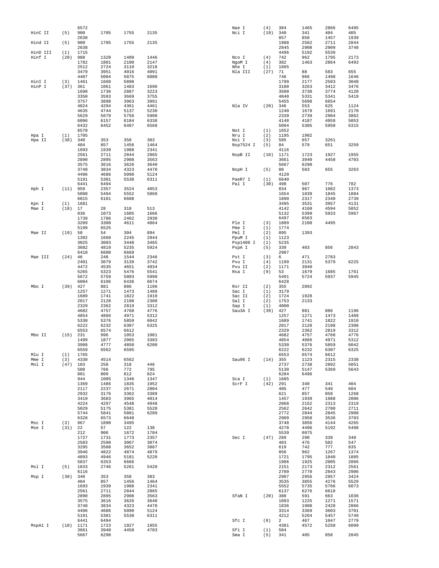|          |      | 6572 |      |      |      | Nae I     | (4)  | 384  | 1465 | 2866 | 6495 |
|----------|------|------|------|------|------|-----------|------|------|------|------|------|
| HinC II  | (5)  | 900  | 1705 | 1755 | 2135 | Nci I     | (19) | 340  | 341  | 404  | 405  |
|          |      | 2638 |      |      |      |           |      | 857  | 858  | 1457 | 1939 |
| Hind II  | (5)  | 900  | 1705 | 1755 | 2135 |           |      | 1988 | 2562 | 2711 | 2844 |
|          |      |      |      |      |      |           |      |      |      |      |      |
|          |      | 2638 |      |      |      |           |      | 2845 | 2908 | 2909 | 3748 |
| HinD III | (1)  | 1715 |      |      |      |           |      | 4496 | 5192 | 5539 |      |
| Hinf I   | (20) | 988  | 1320 | 1409 | 1446 | Nco I     | (4)  | 742  | 962  | 1795 | 2173 |
|          |      | 1782 | 1801 | 2100 | 2147 | NgoM I    | (4)  | 382  | 1463 | 2864 | 6493 |
|          |      | 2512 | 2724 | 3110 | 3218 | Nhe I     | (1)  | 1665 |      |      |      |
|          |      | 3479 | 3951 | 4016 | 4091 | Nla III   | (27) | 71   | 88   | 583  | 655  |
|          |      | 4487 | 5004 | 5875 | 6088 |           |      | 746  | 966  | 1498 | 1646 |
| HinI I   | (3)  | 1461 | 1660 | 5898 |      |           |      | 1799 | 2177 | 2503 | 3040 |
| HinP I   | (37) | 361  | 1061 | 1483 | 1696 |           |      | 3100 | 3263 | 3412 | 3476 |
|          |      | 1698 | 1736 | 2887 | 3223 |           |      | 3500 | 3730 | 3774 | 4120 |
|          |      | 3350 | 3593 |      | 3755 |           |      | 4840 |      | 5341 |      |
|          |      |      |      | 3669 |      |           |      |      | 5331 |      | 5419 |
|          |      | 3757 | 3898 | 3963 | 3991 |           |      | 5455 | 5698 | 6654 |      |
|          |      | 4024 | 4294 | 4361 | 4461 | Nla IV    | (20) | 346  | 553  | 625  | 1124 |
|          |      | 4635 | 4744 | 5137 | 5230 |           |      | 1240 | 1679 | 1691 | 2170 |
|          |      | 5629 | 5679 | 5756 | 5908 |           |      | 2339 | 2739 | 2904 | 3862 |
|          |      | 6096 | 6157 | 6184 | 6338 |           |      | 4148 | 4187 | 4959 | 5053 |
|          |      | 6432 | 6452 | 6487 | 6568 |           |      | 5094 | 5305 | 5950 | 6315 |
|          |      | 6570 |      |      |      | Not I     | (1)  | 1652 |      |      |      |
| Hpa I    | (1)  | 1705 |      |      |      | Nru I     | (2)  | 1195 | 1902 |      |      |
| Hpa II   | (38) | 340  | 353  | 358  | 383  | Nsi I     | (3)  | 585  | 657  | 3261 |      |
|          |      | 404  | 857  | 1456 | 1464 |           | (5)  | 84   | 579  | 651  | 3259 |
|          |      |      |      |      |      | Nsp7524 I |      |      |      |      |      |
|          |      | 1693 | 1939 | 1988 | 2341 |           |      | 4116 |      |      |      |
|          |      | 2561 | 2711 | 2844 | 2865 | NspB II   | (10) | 1171 | 1723 | 1927 | 1955 |
|          |      | 2890 | 2895 | 2908 | 3563 |           |      | 3661 | 3940 | 4458 | 4703 |
|          |      | 3575 | 3616 | 3626 | 3640 |           |      | 5667 | 6290 |      |      |
|          |      | 3748 | 3834 | 4323 | 4470 | NspH I    | (5)  | 88   | 583  | 655  | 3263 |
|          |      | 4496 | 4686 | 5090 | 5124 |           |      | 4120 |      |      |      |
|          |      | 5191 | 5301 | 5538 | 6311 | PaeR7 I   | (1)  | 6640 |      |      |      |
|          |      | 6441 | 6494 |      |      | Pal I     | (30) | 498  | 507  | 776  | 782  |
| Hph I    | (11) | 959  | 2357 | 3524 | 4853 |           |      | 834  | 967  | 1082 | 1373 |
|          |      | 5080 | 5494 | 5552 | 5868 |           |      | 1654 | 1839 | 1845 | 1884 |
|          |      | 6015 | 6101 | 6608 |      |           |      | 1890 | 2317 | 2340 | 2739 |
| Kpn I    | (1)  | 1681 |      |      |      |           |      | 3495 | 3531 | 3957 | 4131 |
|          | (18) | 17   | 28   | 318  | 513  |           |      | 4142 | 4160 | 4594 | 5052 |
| Mae I    |      |      |      |      |      |           |      |      |      |      |      |
|          |      | 836  | 1073 | 1605 | 1666 |           |      | 5132 | 5399 | 5933 | 5967 |
|          |      | 1739 | 1786 | 2462 | 2930 |           |      | 6497 | 6563 |      |      |
|          |      | 3289 | 3300 | 4611 | 4864 | Ple I     | (3)  | 1809 | 2108 | 4495 |      |
|          |      | 5199 | 6525 |      |      | Pme I     | (1)  | 1774 |      |      |      |
| Mae II   | (19) | 50   | 54   | 304  | 894  | Pml I     | (2)  | 895  | 1393 |      |      |
|          |      | 1392 | 1660 | 2245 | 2944 | PpuM I    | (1)  | 1123 |      |      |      |
|          |      | 3025 | 3083 | 3448 | 3465 | Psp1406 I | (1)  | 5235 |      |      |      |
|          |      | 3682 | 4819 | 5235 | 5924 | PspA I    | (5)  | 339  | 403  | 856  | 2843 |
|          |      | 6410 | 6600 | 6669 |      |           |      | 2907 |      |      |      |
| Mae III  | (24) | 46   | 248  | 1544 | 2346 | Pst I     | (3)  | 6    | 471  | 2783 |      |
|          |      | 2401 | 3079 | 3139 | 3742 | Pvu I     | (4)  | 1199 | 2131 | 5379 | 6225 |
|          |      | 4472 | 4535 | 4651 | 4934 | Pvu II    | (2)  | 1171 | 3940 |      |      |
|          |      | 5265 | 5323 | 5476 | 5541 | Rsa I     | (9)  | 53   | 1679 | 1685 | 1761 |
|          |      | 5672 | 5759 | 5803 | 5998 |           |      | 5491 | 5724 | 5937 | 5945 |
|          |      | 6004 | 6106 | 6436 | 6674 |           |      |      |      |      |      |
|          |      |      |      |      |      |           |      | 6428 |      |      |      |
| Mbo I    | (39) | 427  | 881  | 886  | 1196 | Rsr II    | (2)  | 355  | 2892 |      |      |
|          |      | 1257 | 1271 | 1473 | 1489 | Sac I     | (1)  | 3179 |      |      |      |
|          |      | 1689 | 1741 | 1822 | 1910 | Sac II    | (2)  | 1724 | 1928 |      |      |
|          |      | 2017 | 2128 | 2198 | 2308 | Sal I     | (2)  | 1753 | 2133 |      |      |
|          |      | 2329 | 2362 | 2819 | 3312 | Sap I     | (1)  | 4000 |      |      |      |
|          |      | 4682 | 4757 | 4768 | 4776 | Sau3A I   | (39) | 427  | 881  | 886  | 1196 |
|          |      | 4854 | 4866 | 4971 | 5312 |           |      | 1257 | 1271 | 1473 | 1489 |
|          |      | 5330 | 5376 | 5859 | 6042 |           |      | 1689 | 1741 | 1822 | 1910 |
|          |      | 6222 | 6232 | 6307 | 6325 |           |      | 2017 | 2128 | 2198 | 2308 |
|          |      | 6553 | 6574 | 6612 |      |           |      | 2329 | 2362 | 2819 | 3312 |
|          |      |      |      |      |      |           |      |      |      |      |      |
| Mbo II   | (15) | 231  | 996  | 1053 | 1081 |           |      | 4682 | 4757 | 4768 | 4776 |
|          |      | 1499 | 1877 | 2065 | 3383 |           |      | 4854 | 4866 | 4971 | 5312 |
|          |      | 3988 | 4777 | 4850 | 6200 |           |      | 5330 | 5376 | 5859 | 6042 |
|          |      | 6559 | 6562 | 6595 |      |           |      | 6222 | 6232 | 6307 | 6325 |
| Mlu I    | (1)  | 1765 |      |      |      |           |      | 6553 | 6574 | 6612 |      |
| Mme I    | (3)  | 4330 | 4514 | 6562 |      | Sau96 I   | (14) | 355  | 1123 | 2315 | 2338 |
| Mnl I    | (47) | 103  | 258  | 318  | 446  |           |      | 2737 | 2738 | 2892 | 5051 |
|          |      | 508  | 766  | 772  | 795  |           |      | 5130 | 5147 | 5369 | 5643 |
|          |      | 801  | 809  | 812  | 824  |           |      | 6284 | 6496 |      |      |
|          |      | 944  | 1005 | 1346 | 1347 | Sca I     | (1)  | 1685 |      |      |      |
|          |      | 1369 | 1486 | 1835 | 1952 | ScrF I    | (42) | 291  | 340  | 341  | 404  |
|          |      | 2117 | 2237 | 2671 | 2804 |           |      | 405  | 477  | 549  | 604  |
|          |      | 2932 | 3176 | 3362 | 3389 |           |      | 621  | 857  | 858  | 1268 |
|          |      | 3419 | 3683 | 3965 | 4014 |           |      | 1457 | 1939 | 1988 | 2006 |
|          |      |      | 4297 |      |      |           |      |      |      | 2313 |      |
|          |      | 4224 |      | 4548 | 4948 |           |      | 2068 | 2152 |      | 2319 |
|          |      | 5029 | 5175 | 5381 | 5520 |           |      | 2562 | 2642 | 2700 | 2711 |
|          |      | 5744 | 5841 | 5881 | 6289 |           |      | 2772 | 2844 | 2845 | 2908 |
|          |      | 6328 | 6573 | 6648 |      |           |      | 2909 | 2958 | 3536 | 3703 |
| Msc I    | (3)  | 967  | 1890 | 3495 |      |           |      | 3748 | 3856 | 4144 | 4265 |
| Mse I    | (31) | 22   | 57   | 122  | 138  |           |      | 4278 | 4496 | 5192 | 5498 |
|          |      | 212  | 906  | 1672 | 1704 |           |      | 5539 | 6075 |      |      |
|          |      | 1727 | 1731 | 1773 | 2357 | Sec I     | (47) | 289  | 290  | 339  | 340  |
|          |      | 2583 | 2590 | 3067 | 3074 |           |      | 403  | 476  | 502  | 547  |
|          |      | 3295 | 3508 | 3652 | 3887 |           |      | 619  | 742  | 777  | 835  |
|          |      | 3946 | 4822 | 4874 | 4879 |           |      | 856  | 962  | 1267 | 1374 |
|          |      | 4893 | 4946 | 5181 | 5220 |           |      | 1721 | 1795 | 1840 | 1885 |
|          |      | 5837 | 6353 | 6666 |      |           |      | 1906 | 1925 | 2005 | 2066 |
|          |      |      |      |      |      |           |      | 2151 |      | 2312 |      |
| Msl I    | (5)  | 1833 | 2746 | 5261 | 5420 |           |      |      | 2173 |      | 2561 |
|          |      | 6116 |      |      |      |           |      | 2709 | 2770 | 2843 | 2906 |
| Msp I    | (38) | 340  | 353  | 358  | 383  |           |      | 2907 | 2956 | 2957 | 3424 |
|          |      | 404  | 857  | 1456 | 1464 |           |      | 3535 | 3855 | 4276 | 5529 |
|          |      | 1693 | 1939 | 1988 | 2341 |           |      | 5552 | 5735 | 5766 | 6073 |
|          |      | 2561 | 2711 | 2844 | 2865 |           |      | 6137 | 6276 | 6618 |      |
|          |      | 2890 | 2895 | 2908 | 3563 | SfaN I    | (20) | 380  | 591  | 663  | 1036 |
|          |      | 3575 | 3616 | 3626 | 3640 |           |      | 1093 | 1225 | 1271 | 1571 |
|          |      | 3748 | 3834 | 4323 | 4470 |           |      | 1836 | 1908 | 2428 | 2866 |
|          |      | 4496 | 4686 | 5090 | 5124 |           |      | 3314 | 3369 | 3603 | 3701 |
|          |      | 5191 | 5301 | 5538 | 6311 |           |      | 4212 | 5264 | 5457 | 5749 |
|          |      | 6441 | 6494 |      |      | Sfc I     | (8)  | 2    | 467  | 1047 | 2779 |
| MspAl I  | (10) | 1171 | 1723 | 1927 | 1955 |           |      | 4381 | 4572 | 5250 | 6099 |
|          |      | 3661 | 3940 | 4458 | 4703 | Sfi I     | (1)  | 504  |      |      |      |
|          |      | 5667 | 6290 |      |      | Sma I     | (5)  | 341  | 405  | 858  | 2845 |